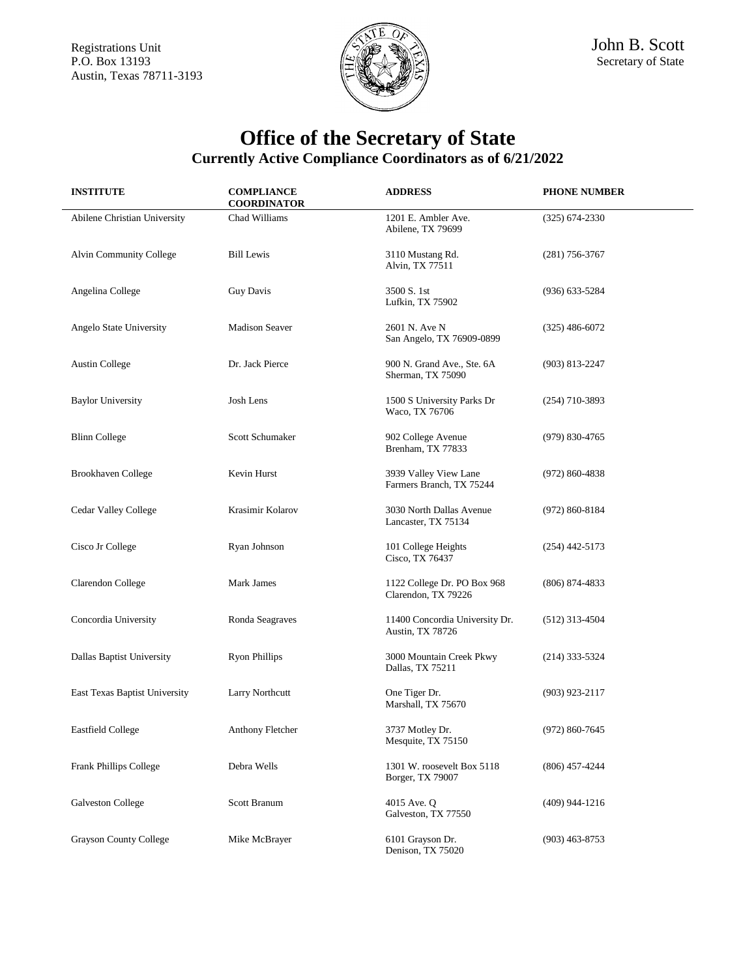Registrations Unit **Service Service Service Service Service Service Service Service Service Service Service Service Service Service Service Service Service Service Service Service Service Service Service Service Service Se** Austin, Texas 78711-3193



| <b>INSTITUTE</b>              | <b>COMPLIANCE</b><br><b>COORDINATOR</b> | <b>ADDRESS</b>                                     | <b>PHONE NUMBER</b> |
|-------------------------------|-----------------------------------------|----------------------------------------------------|---------------------|
| Abilene Christian University  | Chad Williams                           | 1201 E. Ambler Ave.<br>Abilene, TX 79699           | $(325)$ 674-2330    |
| Alvin Community College       | <b>Bill Lewis</b>                       | 3110 Mustang Rd.<br>Alvin, TX 77511                | $(281)$ 756-3767    |
| Angelina College              | <b>Guy Davis</b>                        | 3500 S. 1st<br>Lufkin, TX 75902                    | (936) 633-5284      |
| Angelo State University       | <b>Madison Seaver</b>                   | 2601 N. Ave N<br>San Angelo, TX 76909-0899         | $(325)$ 486-6072    |
| <b>Austin College</b>         | Dr. Jack Pierce                         | 900 N. Grand Ave., Ste. 6A<br>Sherman, TX 75090    | $(903)$ 813-2247    |
| <b>Baylor University</b>      | Josh Lens                               | 1500 S University Parks Dr<br>Waco, TX 76706       | $(254)$ 710-3893    |
| <b>Blinn College</b>          | <b>Scott Schumaker</b>                  | 902 College Avenue<br>Brenham, TX 77833            | (979) 830-4765      |
| Brookhaven College            | Kevin Hurst                             | 3939 Valley View Lane<br>Farmers Branch, TX 75244  | $(972) 860 - 4838$  |
| Cedar Valley College          | Krasimir Kolarov                        | 3030 North Dallas Avenue<br>Lancaster, TX 75134    | $(972) 860 - 8184$  |
| Cisco Jr College              | Ryan Johnson                            | 101 College Heights<br>Cisco, TX 76437             | $(254)$ 442-5173    |
| Clarendon College             | Mark James                              | 1122 College Dr. PO Box 968<br>Clarendon, TX 79226 | $(806)$ 874-4833    |
| Concordia University          | Ronda Seagraves                         | 11400 Concordia University Dr.<br>Austin, TX 78726 | $(512)$ 313-4504    |
| Dallas Baptist University     | <b>Ryon Phillips</b>                    | 3000 Mountain Creek Pkwy<br>Dallas, TX 75211       | $(214)$ 333-5324    |
| East Texas Baptist University | Larry Northcutt                         | One Tiger Dr.<br>Marshall, TX 75670                | $(903)$ 923-2117    |
| <b>Eastfield College</b>      | Anthony Fletcher                        | 3737 Motley Dr.<br>Mesquite, TX 75150              | $(972) 860 - 7645$  |
| Frank Phillips College        | Debra Wells                             | 1301 W. roosevelt Box 5118<br>Borger, TX 79007     | $(806)$ 457-4244    |
| Galveston College             | Scott Branum                            | 4015 Ave. Q<br>Galveston, TX 77550                 | (409) 944-1216      |
| Grayson County College        | Mike McBrayer                           | 6101 Grayson Dr.<br>Denison, TX 75020              | $(903)$ 463-8753    |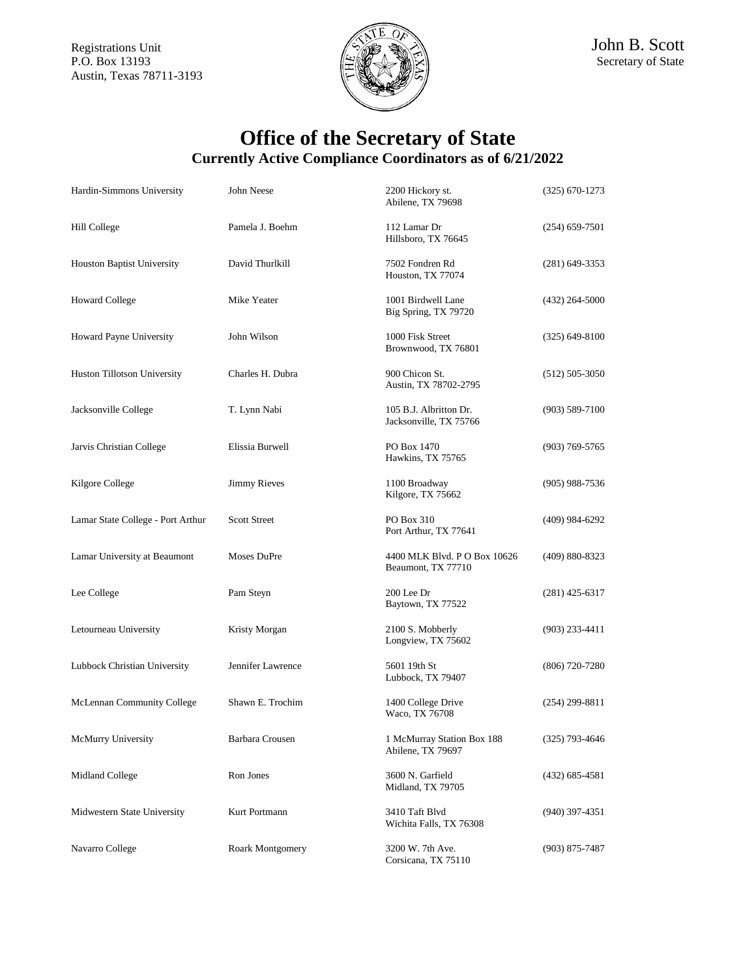

| Hardin-Simmons University         | John Neese          | 2200 Hickory st.<br>Abilene, TX 79698              | $(325) 670 - 1273$ |
|-----------------------------------|---------------------|----------------------------------------------------|--------------------|
| Hill College                      | Pamela J. Boehm     | 112 Lamar Dr<br>Hillsboro, TX 76645                | $(254)$ 659-7501   |
| <b>Houston Baptist University</b> | David Thurlkill     | 7502 Fondren Rd<br>Houston, TX 77074               | $(281)$ 649-3353   |
| <b>Howard College</b>             | Mike Yeater         | 1001 Birdwell Lane<br>Big Spring, TX 79720         | $(432)$ 264-5000   |
| Howard Payne University           | John Wilson         | 1000 Fisk Street<br>Brownwood, TX 76801            | $(325)$ 649-8100   |
| Huston Tillotson University       | Charles H. Dubra    | 900 Chicon St.<br>Austin, TX 78702-2795            | $(512) 505 - 3050$ |
| Jacksonville College              | T. Lynn Nabi        | 105 B.J. Albritton Dr.<br>Jacksonville, TX 75766   | $(903) 589 - 7100$ |
| Jarvis Christian College          | Elissia Burwell     | PO Box 1470<br>Hawkins, TX 75765                   | (903) 769-5765     |
| Kilgore College                   | <b>Jimmy Rieves</b> | 1100 Broadway<br>Kilgore, TX 75662                 | $(905)$ 988-7536   |
| Lamar State College - Port Arthur | <b>Scott Street</b> | PO Box 310<br>Port Arthur, TX 77641                | (409) 984-6292     |
| Lamar University at Beaumont      | Moses DuPre         | 4400 MLK Blvd. P O Box 10626<br>Beaumont, TX 77710 | $(409) 880 - 8323$ |
| Lee College                       | Pam Steyn           | 200 Lee Dr<br>Baytown, TX 77522                    | (281) 425-6317     |
| Letourneau University             | Kristy Morgan       | 2100 S. Mobberly<br>Longview, TX 75602             | $(903)$ 233-4411   |
| Lubbock Christian University      | Jennifer Lawrence   | 5601 19th St<br>Lubbock, TX 79407                  | (806) 720-7280     |
| McLennan Community College        | Shawn E. Trochim    | 1400 College Drive<br>Waco, TX 76708               | $(254)$ 299-8811   |
| McMurry University                | Barbara Crousen     | 1 McMurray Station Box 188<br>Abilene, TX 79697    | $(325)$ 793-4646   |
| Midland College                   | Ron Jones           | 3600 N. Garfield<br>Midland, TX 79705              | $(432) 685 - 4581$ |
| Midwestern State University       | Kurt Portmann       | 3410 Taft Blvd<br>Wichita Falls, TX 76308          | (940) 397-4351     |
| Navarro College                   | Roark Montgomery    | 3200 W. 7th Ave.<br>Corsicana, TX 75110            | $(903)$ 875-7487   |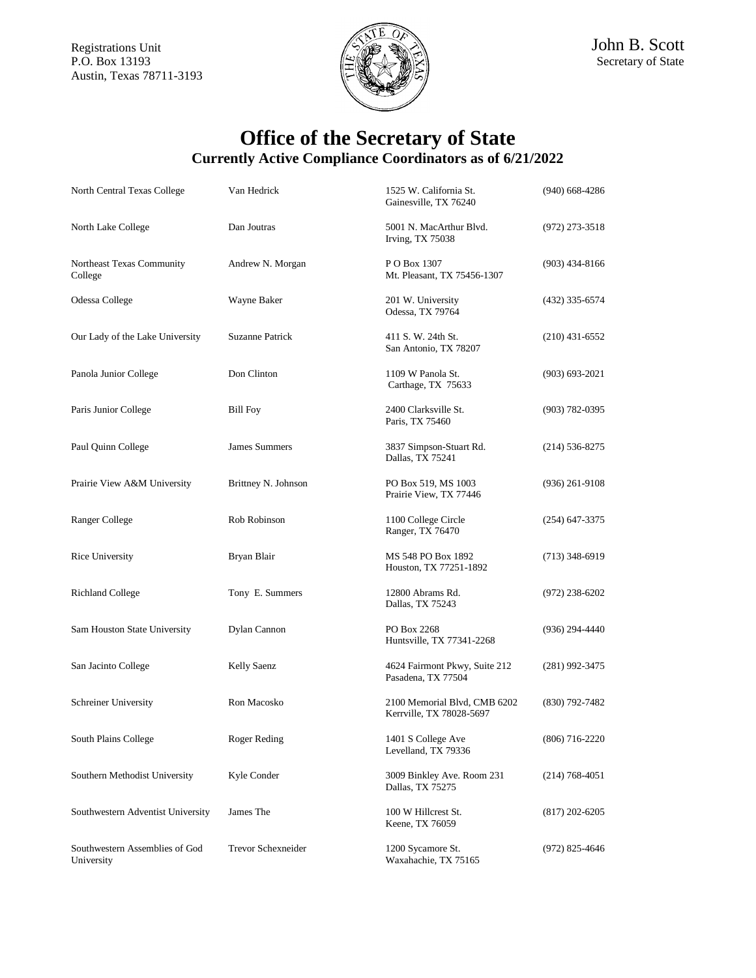

| North Central Texas College                  | Van Hedrick         | 1525 W. California St.<br>Gainesville, TX 76240          | $(940)$ 668-4286   |
|----------------------------------------------|---------------------|----------------------------------------------------------|--------------------|
| North Lake College                           | Dan Joutras         | 5001 N. MacArthur Blvd.<br><b>Irving, TX 75038</b>       | $(972)$ 273-3518   |
| Northeast Texas Community<br>College         | Andrew N. Morgan    | P O Box 1307<br>Mt. Pleasant, TX 75456-1307              | $(903)$ 434-8166   |
| Odessa College                               | Wayne Baker         | 201 W. University<br>Odessa, TX 79764                    | $(432)$ 335-6574   |
| Our Lady of the Lake University              | Suzanne Patrick     | 411 S. W. 24th St.<br>San Antonio, TX 78207              | $(210)$ 431-6552   |
| Panola Junior College                        | Don Clinton         | 1109 W Panola St.<br>Carthage, TX 75633                  | $(903) 693 - 2021$ |
| Paris Junior College                         | <b>Bill Foy</b>     | 2400 Clarksville St.<br>Paris, TX 75460                  | $(903) 782 - 0395$ |
| Paul Quinn College                           | James Summers       | 3837 Simpson-Stuart Rd.<br>Dallas, TX 75241              | $(214)$ 536-8275   |
| Prairie View A&M University                  | Brittney N. Johnson | PO Box 519, MS 1003<br>Prairie View, TX 77446            | $(936)$ 261-9108   |
| Ranger College                               | Rob Robinson        | 1100 College Circle<br>Ranger, TX 76470                  | $(254)$ 647-3375   |
| Rice University                              | Bryan Blair         | MS 548 PO Box 1892<br>Houston, TX 77251-1892             | $(713)$ 348-6919   |
| <b>Richland College</b>                      | Tony E. Summers     | 12800 Abrams Rd.<br>Dallas, TX 75243                     | (972) 238-6202     |
| Sam Houston State University                 | Dylan Cannon        | PO Box 2268<br>Huntsville, TX 77341-2268                 | (936) 294-4440     |
| San Jacinto College                          | Kelly Saenz         | 4624 Fairmont Pkwy, Suite 212<br>Pasadena, TX 77504      | $(281)$ 992-3475   |
| Schreiner University                         | Ron Macosko         | 2100 Memorial Blvd, CMB 6202<br>Kerrville, TX 78028-5697 | $(830)$ 792-7482   |
| South Plains College                         | Roger Reding        | 1401 S College Ave<br>Levelland, TX 79336                | $(806)$ 716-2220   |
| Southern Methodist University                | Kyle Conder         | 3009 Binkley Ave. Room 231<br>Dallas, TX 75275           | $(214) 768 - 4051$ |
| Southwestern Adventist University            | James The           | 100 W Hillcrest St.<br>Keene, TX 76059                   | $(817)$ 202-6205   |
| Southwestern Assemblies of God<br>University | Trevor Schexneider  | 1200 Sycamore St.<br>Waxahachie, TX 75165                | $(972)$ 825-4646   |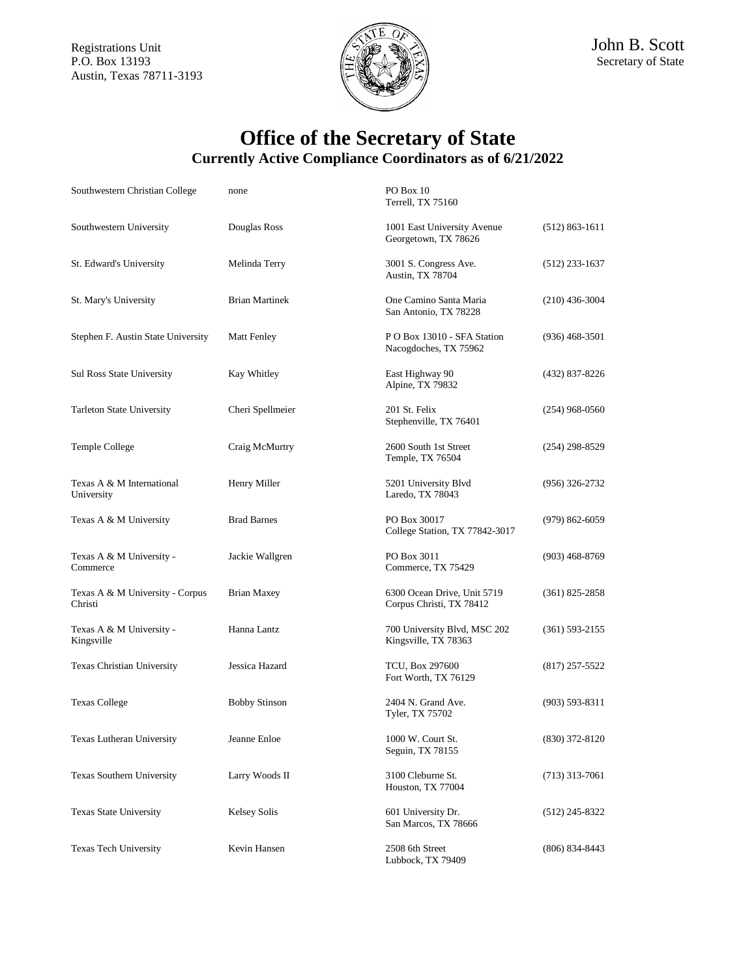

Secretary of State

| Southwestern Christian College             | none                  | PO Box 10<br>Terrell, TX 75160                          |                    |
|--------------------------------------------|-----------------------|---------------------------------------------------------|--------------------|
| Southwestern University                    | Douglas Ross          | 1001 East University Avenue<br>Georgetown, TX 78626     | $(512) 863 - 1611$ |
| St. Edward's University                    | Melinda Terry         | 3001 S. Congress Ave.<br><b>Austin, TX 78704</b>        | $(512)$ 233-1637   |
| St. Mary's University                      | <b>Brian Martinek</b> | One Camino Santa Maria<br>San Antonio, TX 78228         | $(210)$ 436-3004   |
| Stephen F. Austin State University         | <b>Matt Fenley</b>    | P O Box 13010 - SFA Station<br>Nacogdoches, TX 75962    | $(936)$ 468-3501   |
| <b>Sul Ross State University</b>           | Kay Whitley           | East Highway 90<br>Alpine, TX 79832                     | (432) 837-8226     |
| <b>Tarleton State University</b>           | Cheri Spellmeier      | 201 St. Felix<br>Stephenville, TX 76401                 | $(254)$ 968-0560   |
| Temple College                             | Craig McMurtry        | 2600 South 1st Street<br>Temple, TX 76504               | $(254)$ 298-8529   |
| Texas A & M International<br>University    | Henry Miller          | 5201 University Blvd<br>Laredo, TX 78043                | $(956)$ 326-2732   |
| Texas A & M University                     | <b>Brad Barnes</b>    | PO Box 30017<br>College Station, TX 77842-3017          | $(979) 862 - 6059$ |
| Texas A & M University -<br>Commerce       | Jackie Wallgren       | PO Box 3011<br>Commerce, TX 75429                       | $(903)$ 468-8769   |
| Texas A & M University - Corpus<br>Christi | <b>Brian Maxey</b>    | 6300 Ocean Drive, Unit 5719<br>Corpus Christi, TX 78412 | $(361)$ 825-2858   |
| Texas A & M University -<br>Kingsville     | Hanna Lantz           | 700 University Blvd, MSC 202<br>Kingsville, TX 78363    | $(361) 593 - 2155$ |
| Texas Christian University                 | Jessica Hazard        | <b>TCU, Box 297600</b><br>Fort Worth, TX 76129          | $(817)$ 257-5522   |
| <b>Texas College</b>                       | <b>Bobby Stinson</b>  | 2404 N. Grand Ave.<br>Tyler, TX 75702                   | $(903)$ 593-8311   |
| Texas Lutheran University                  | Jeanne Enloe          | 1000 W. Court St.<br>Seguin, TX 78155                   | $(830)$ 372-8120   |
| Texas Southern University                  | Larry Woods II        | 3100 Cleburne St.<br>Houston, TX 77004                  | $(713)$ 313-7061   |
| Texas State University                     | <b>Kelsey Solis</b>   | 601 University Dr.<br>San Marcos, TX 78666              | $(512)$ 245-8322   |
| Texas Tech University                      | Kevin Hansen          | 2508 6th Street<br>Lubbock, TX 79409                    | $(806)$ 834-8443   |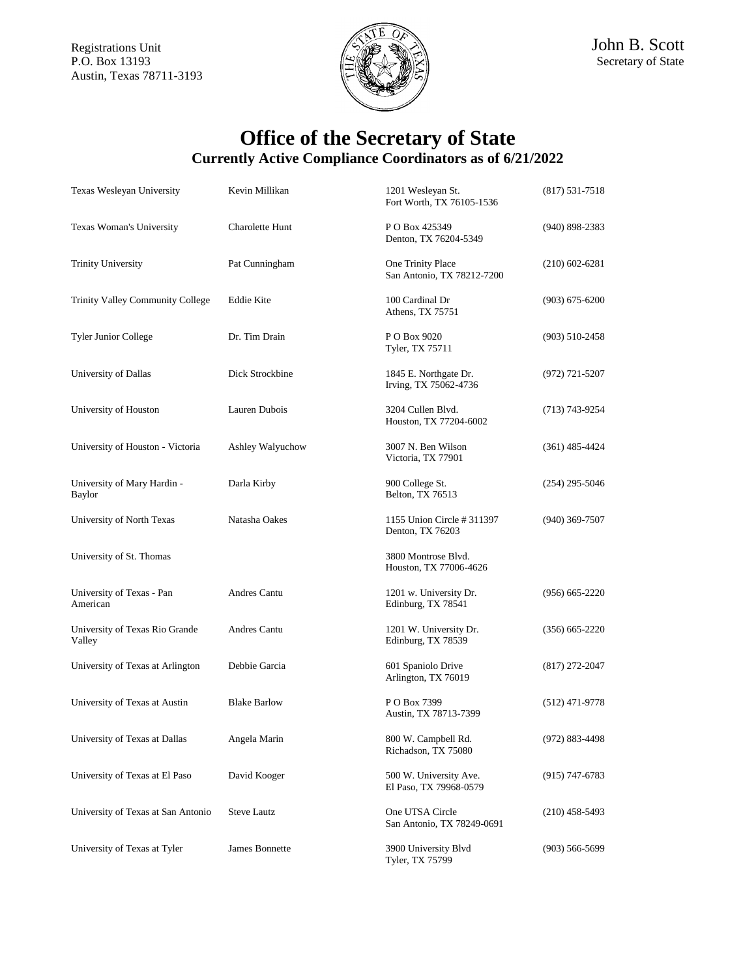

| Texas Wesleyan University                | Kevin Millikan      | 1201 Wesleyan St.<br>Fort Worth, TX 76105-1536   | $(817)$ 531-7518   |
|------------------------------------------|---------------------|--------------------------------------------------|--------------------|
| Texas Woman's University                 | Charolette Hunt     | P O Box 425349<br>Denton, TX 76204-5349          | $(940)$ 898-2383   |
| <b>Trinity University</b>                | Pat Cunningham      | One Trinity Place<br>San Antonio, TX 78212-7200  | $(210)$ 602-6281   |
| Trinity Valley Community College         | Eddie Kite          | 100 Cardinal Dr<br>Athens, TX 75751              | $(903)$ 675-6200   |
| <b>Tyler Junior College</b>              | Dr. Tim Drain       | P O Box 9020<br>Tyler, TX 75711                  | $(903)$ 510-2458   |
| University of Dallas                     | Dick Strockbine     | 1845 E. Northgate Dr.<br>Irving, TX 75062-4736   | (972) 721-5207     |
| University of Houston                    | Lauren Dubois       | 3204 Cullen Blvd.<br>Houston, TX 77204-6002      | (713) 743-9254     |
| University of Houston - Victoria         | Ashley Walyuchow    | 3007 N. Ben Wilson<br>Victoria, TX 77901         | $(361)$ 485-4424   |
| University of Mary Hardin -<br>Baylor    | Darla Kirby         | 900 College St.<br>Belton, TX 76513              | $(254)$ 295-5046   |
| University of North Texas                | Natasha Oakes       | 1155 Union Circle # 311397<br>Denton, TX 76203   | $(940)$ 369-7507   |
| University of St. Thomas                 |                     | 3800 Montrose Blvd.<br>Houston, TX 77006-4626    |                    |
| University of Texas - Pan<br>American    | Andres Cantu        | 1201 w. University Dr.<br>Edinburg, TX 78541     | $(956) 665 - 2220$ |
| University of Texas Rio Grande<br>Valley | Andres Cantu        | 1201 W. University Dr.<br>Edinburg, TX 78539     | $(356)$ 665-2220   |
| University of Texas at Arlington         | Debbie Garcia       | 601 Spaniolo Drive<br>Arlington, TX 76019        | $(817)$ 272-2047   |
| University of Texas at Austin            | <b>Blake Barlow</b> | P O Box 7399<br>Austin, TX 78713-7399            | $(512)$ 471-9778   |
| University of Texas at Dallas            | Angela Marin        | 800 W. Campbell Rd.<br>Richadson, TX 75080       | (972) 883-4498     |
| University of Texas at El Paso           | David Kooger        | 500 W. University Ave.<br>El Paso, TX 79968-0579 | (915) 747-6783     |
| University of Texas at San Antonio       | <b>Steve Lautz</b>  | One UTSA Circle<br>San Antonio, TX 78249-0691    | $(210)$ 458-5493   |
| University of Texas at Tyler             | James Bonnette      | 3900 University Blvd<br>Tyler, TX 75799          | $(903) 566 - 5699$ |